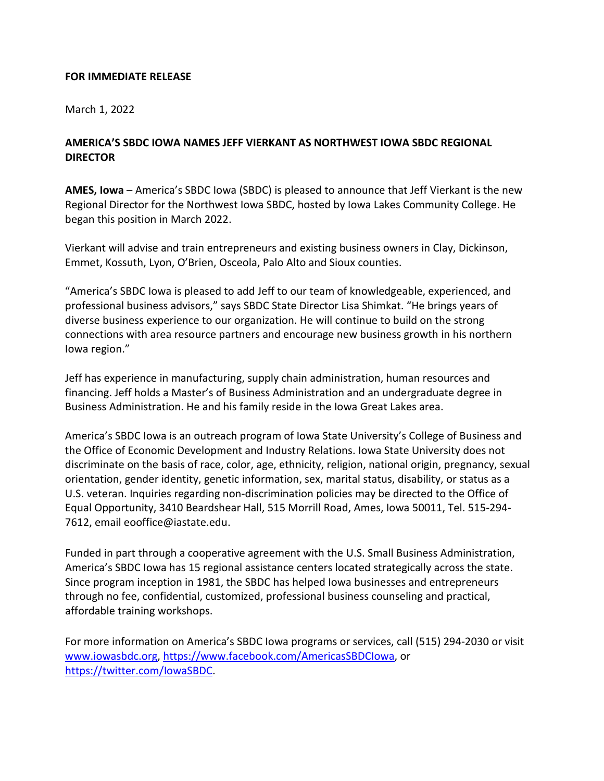## **FOR IMMEDIATE RELEASE**

March 1, 2022

## **AMERICA'S SBDC IOWA NAMES JEFF VIERKANT AS NORTHWEST IOWA SBDC REGIONAL DIRECTOR**

**AMES, Iowa** – America's SBDC Iowa (SBDC) is pleased to announce that Jeff Vierkant is the new Regional Director for the Northwest Iowa SBDC, hosted by Iowa Lakes Community College. He began this position in March 2022.

Vierkant will advise and train entrepreneurs and existing business owners in Clay, Dickinson, Emmet, Kossuth, Lyon, O'Brien, Osceola, Palo Alto and Sioux counties.

"America's SBDC Iowa is pleased to add Jeff to our team of knowledgeable, experienced, and professional business advisors," says SBDC State Director Lisa Shimkat. "He brings years of diverse business experience to our organization. He will continue to build on the strong connections with area resource partners and encourage new business growth in his northern Iowa region."

Jeff has experience in manufacturing, supply chain administration, human resources and financing. Jeff holds a Master's of Business Administration and an undergraduate degree in Business Administration. He and his family reside in the Iowa Great Lakes area.

America's SBDC Iowa is an outreach program of Iowa State University's College of Business and the Office of Economic Development and Industry Relations. Iowa State University does not discriminate on the basis of race, color, age, ethnicity, religion, national origin, pregnancy, sexual orientation, gender identity, genetic information, sex, marital status, disability, or status as a U.S. veteran. Inquiries regarding non-discrimination policies may be directed to the Office of Equal Opportunity, 3410 Beardshear Hall, 515 Morrill Road, Ames, Iowa 50011, Tel. 515-294- 7612, email [eooffice@iastate.edu.](mailto:eooffice@mail.iastate.edu)

Funded in part through a cooperative agreement with the U.S. Small Business Administration, America's SBDC Iowa has 15 regional assistance centers located strategically across the state. Since program inception in 1981, the SBDC has helped Iowa businesses and entrepreneurs through no fee, confidential, customized, professional business counseling and practical, affordable training workshops.

For more information on America's SBDC Iowa programs or services, call (515) 294-2030 or visit [www.iowasbdc.org, https://www.facebook.com/AmericasSBDCIowa,](http://www.iowasbdc.org/) or [https://twitter.com/IowaSBDC.](https://twitter.com/IowaSBDC)